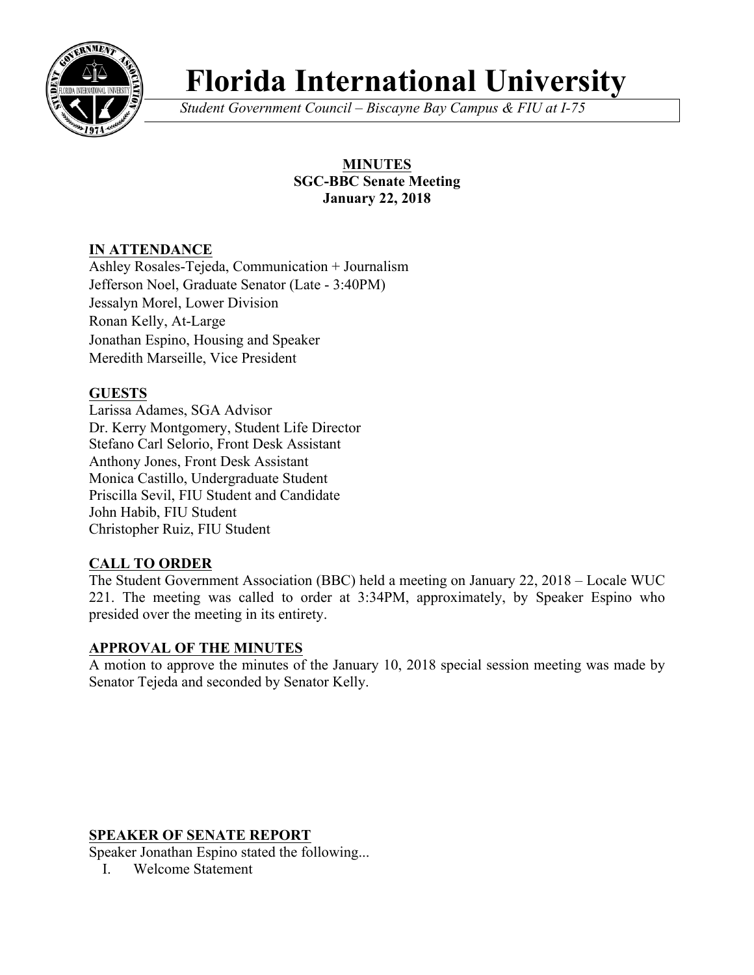

# **Florida International University**

*Student Government Council – Biscayne Bay Campus & FIU at I-75*

#### **MINUTES SGC-BBC Senate Meeting January 22, 2018**

## **IN ATTENDANCE**

Ashley Rosales-Tejeda, Communication + Journalism Jefferson Noel, Graduate Senator (Late - 3:40PM) Jessalyn Morel, Lower Division Ronan Kelly, At-Large Jonathan Espino, Housing and Speaker Meredith Marseille, Vice President

## **GUESTS**

Larissa Adames, SGA Advisor Dr. Kerry Montgomery, Student Life Director Stefano Carl Selorio, Front Desk Assistant Anthony Jones, Front Desk Assistant Monica Castillo, Undergraduate Student Priscilla Sevil, FIU Student and Candidate John Habib, FIU Student Christopher Ruiz, FIU Student

## **CALL TO ORDER**

The Student Government Association (BBC) held a meeting on January 22, 2018 – Locale WUC 221. The meeting was called to order at 3:34PM, approximately, by Speaker Espino who presided over the meeting in its entirety.

#### **APPROVAL OF THE MINUTES**

A motion to approve the minutes of the January 10, 2018 special session meeting was made by Senator Tejeda and seconded by Senator Kelly.

#### **SPEAKER OF SENATE REPORT**

Speaker Jonathan Espino stated the following...

I. Welcome Statement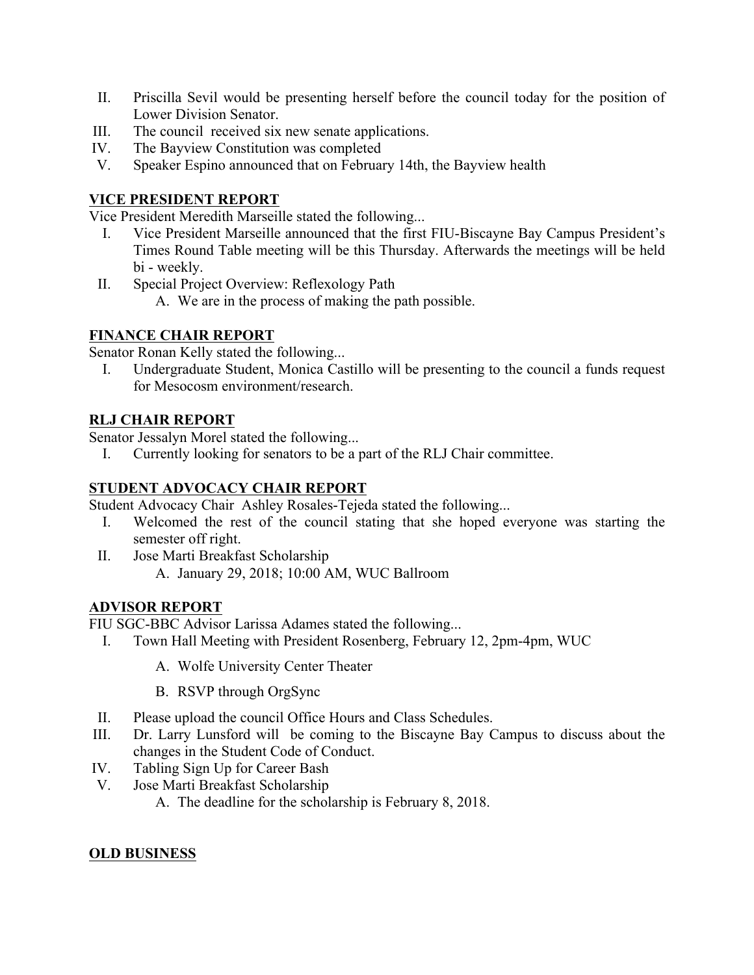- II. Priscilla Sevil would be presenting herself before the council today for the position of Lower Division Senator.
- III. The council received six new senate applications.
- IV. The Bayview Constitution was completed
- V. Speaker Espino announced that on February 14th, the Bayview health

#### **VICE PRESIDENT REPORT**

Vice President Meredith Marseille stated the following...

- I. Vice President Marseille announced that the first FIU-Biscayne Bay Campus President's Times Round Table meeting will be this Thursday. Afterwards the meetings will be held bi - weekly.
- II. Special Project Overview: Reflexology Path
	- A. We are in the process of making the path possible.

## **FINANCE CHAIR REPORT**

Senator Ronan Kelly stated the following...

I. Undergraduate Student, Monica Castillo will be presenting to the council a funds request for Mesocosm environment/research.

#### **RLJ CHAIR REPORT**

Senator Jessalyn Morel stated the following...

I. Currently looking for senators to be a part of the RLJ Chair committee.

## **STUDENT ADVOCACY CHAIR REPORT**

Student Advocacy Chair Ashley Rosales-Tejeda stated the following...

- I. Welcomed the rest of the council stating that she hoped everyone was starting the semester off right.
- II. Jose Marti Breakfast Scholarship A. January 29, 2018; 10:00 AM, WUC Ballroom

#### **ADVISOR REPORT**

FIU SGC-BBC Advisor Larissa Adames stated the following...

- I. Town Hall Meeting with President Rosenberg, February 12, 2pm-4pm, WUC
	- A. Wolfe University Center Theater
	- B. RSVP through OrgSync
- II. Please upload the council Office Hours and Class Schedules.
- III. Dr. Larry Lunsford will be coming to the Biscayne Bay Campus to discuss about the changes in the Student Code of Conduct.
- IV. Tabling Sign Up for Career Bash
- V. Jose Marti Breakfast Scholarship
	- A. The deadline for the scholarship is February 8, 2018.

## **OLD BUSINESS**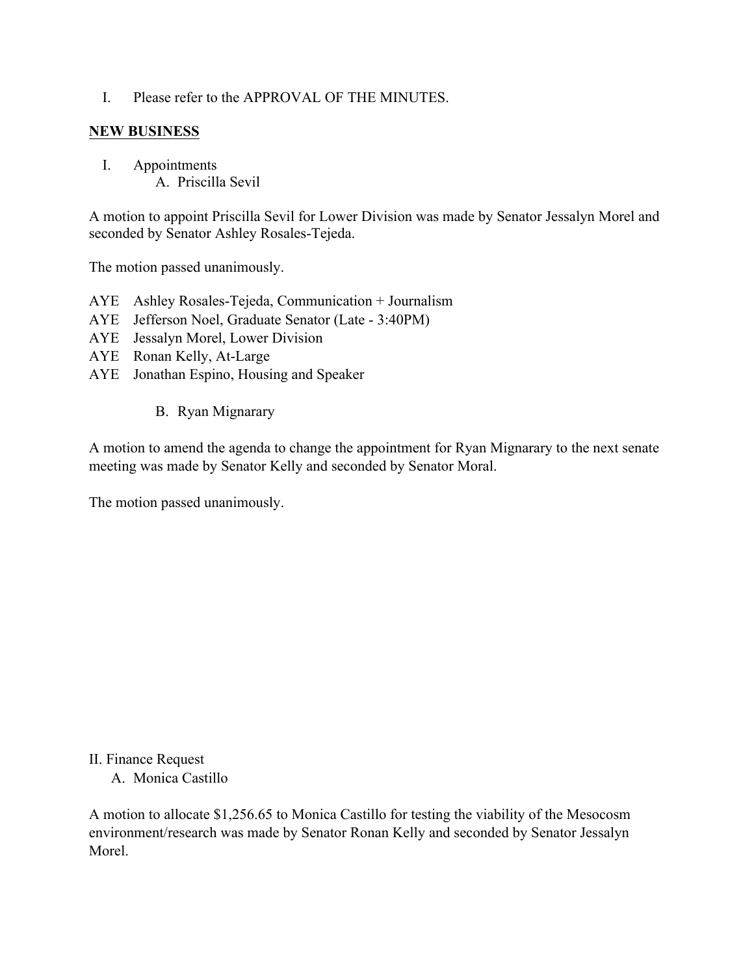I. Please refer to the APPROVAL OF THE MINUTES.

#### **NEW BUSINESS**

I. Appointments A. Priscilla Sevil

A motion to appoint Priscilla Sevil for Lower Division was made by Senator Jessalyn Morel and seconded by Senator Ashley Rosales-Tejeda.

The motion passed unanimously.

- AYE Ashley Rosales-Tejeda, Communication + Journalism
- AYE Jefferson Noel, Graduate Senator (Late 3:40PM)
- AYE Jessalyn Morel, Lower Division
- AYE Ronan Kelly, At-Large
- AYE Jonathan Espino, Housing and Speaker
	- B. Ryan Mignarary

A motion to amend the agenda to change the appointment for Ryan Mignarary to the next senate meeting was made by Senator Kelly and seconded by Senator Moral.

The motion passed unanimously.

II. Finance Request

A. Monica Castillo

A motion to allocate \$1,256.65 to Monica Castillo for testing the viability of the Mesocosm environment/research was made by Senator Ronan Kelly and seconded by Senator Jessalyn Morel.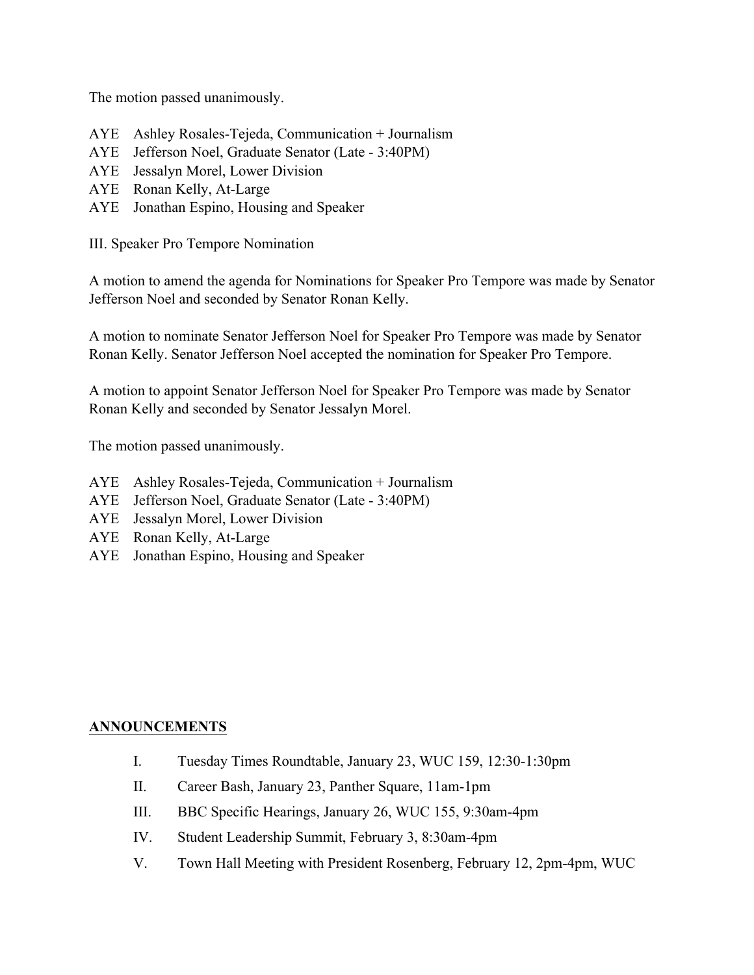The motion passed unanimously.

- AYE Ashley Rosales-Tejeda, Communication + Journalism
- AYE Jefferson Noel, Graduate Senator (Late 3:40PM)
- AYE Jessalyn Morel, Lower Division
- AYE Ronan Kelly, At-Large
- AYE Jonathan Espino, Housing and Speaker

III. Speaker Pro Tempore Nomination

A motion to amend the agenda for Nominations for Speaker Pro Tempore was made by Senator Jefferson Noel and seconded by Senator Ronan Kelly.

A motion to nominate Senator Jefferson Noel for Speaker Pro Tempore was made by Senator Ronan Kelly. Senator Jefferson Noel accepted the nomination for Speaker Pro Tempore.

A motion to appoint Senator Jefferson Noel for Speaker Pro Tempore was made by Senator Ronan Kelly and seconded by Senator Jessalyn Morel.

The motion passed unanimously.

- AYE Ashley Rosales-Tejeda, Communication + Journalism
- AYE Jefferson Noel, Graduate Senator (Late 3:40PM)
- AYE Jessalyn Morel, Lower Division
- AYE Ronan Kelly, At-Large
- AYE Jonathan Espino, Housing and Speaker

#### **ANNOUNCEMENTS**

- I. Tuesday Times Roundtable, January 23, WUC 159, 12:30-1:30pm
- II. Career Bash, January 23, Panther Square, 11am-1pm
- III. BBC Specific Hearings, January 26, WUC 155, 9:30am-4pm
- IV. Student Leadership Summit, February 3, 8:30am-4pm
- V. Town Hall Meeting with President Rosenberg, February 12, 2pm-4pm, WUC